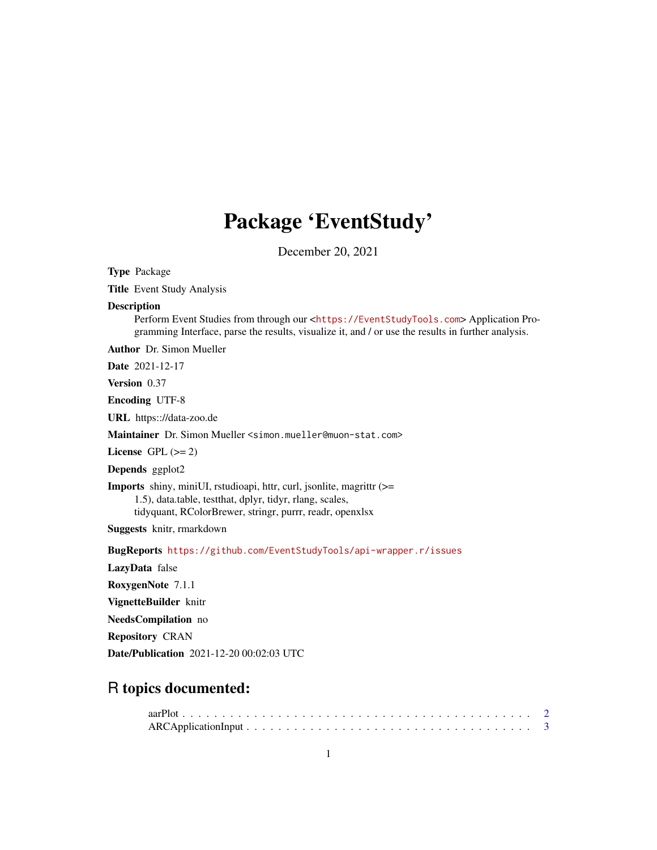# Package 'EventStudy'

December 20, 2021

<span id="page-0-0"></span>Type Package

Title Event Study Analysis

# Description

Perform Event Studies from through our <<https://EventStudyTools.com>> Application Programming Interface, parse the results, visualize it, and / or use the results in further analysis.

Author Dr. Simon Mueller

Date 2021-12-17

Version 0.37

Encoding UTF-8

URL https:://data-zoo.de

Maintainer Dr. Simon Mueller <simon.mueller@muon-stat.com>

License GPL  $(>= 2)$ 

Depends ggplot2

Imports shiny, miniUI, rstudioapi, httr, curl, jsonlite, magrittr (>= 1.5), data.table, testthat, dplyr, tidyr, rlang, scales, tidyquant, RColorBrewer, stringr, purrr, readr, openxlsx

Suggests knitr, rmarkdown

BugReports <https://github.com/EventStudyTools/api-wrapper.r/issues>

LazyData false

RoxygenNote 7.1.1

VignetteBuilder knitr

NeedsCompilation no

Repository CRAN

Date/Publication 2021-12-20 00:02:03 UTC

# R topics documented: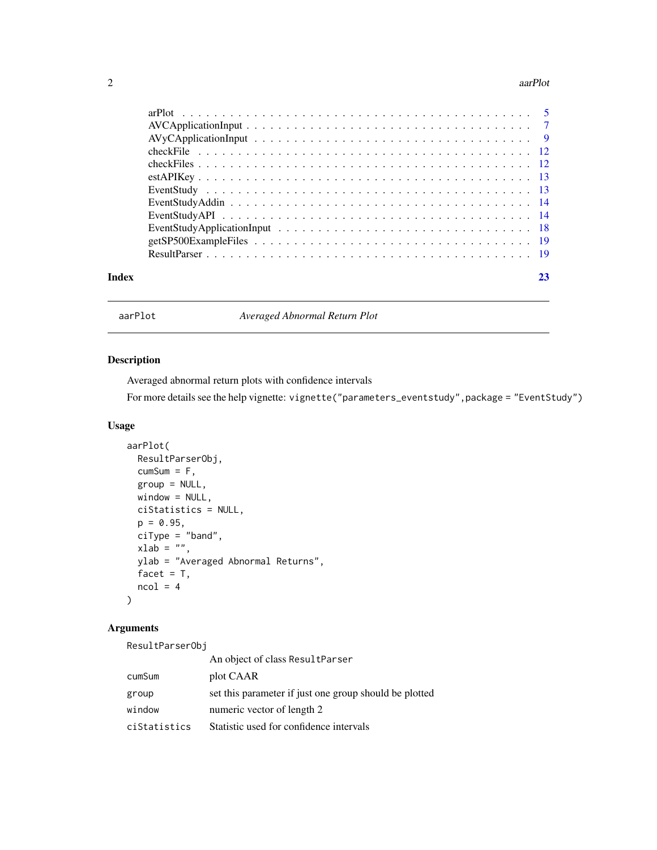#### <span id="page-1-0"></span>2 aarPlot

| Index |  |
|-------|--|

aarPlot *Averaged Abnormal Return Plot*

# Description

Averaged abnormal return plots with confidence intervals

For more details see the help vignette: vignette("parameters\_eventstudy", package = "EventStudy")

#### Usage

```
aarPlot(
 ResultParserObj,
 cumSum = F,group = NULL,
 window = NULL,
 ciStatistics = NULL,
 p = 0.95,
 ciType = "band",
 xlab = "",
 ylab = "Averaged Abnormal Returns",
 facet = T,
 ncol = 4)
```
# Arguments

ResultParserObj

|              | An object of class ResultParser                        |
|--------------|--------------------------------------------------------|
| cumSum       | plot CAAR                                              |
| group        | set this parameter if just one group should be plotted |
| window       | numeric vector of length 2                             |
| ciStatistics | Statistic used for confidence intervals                |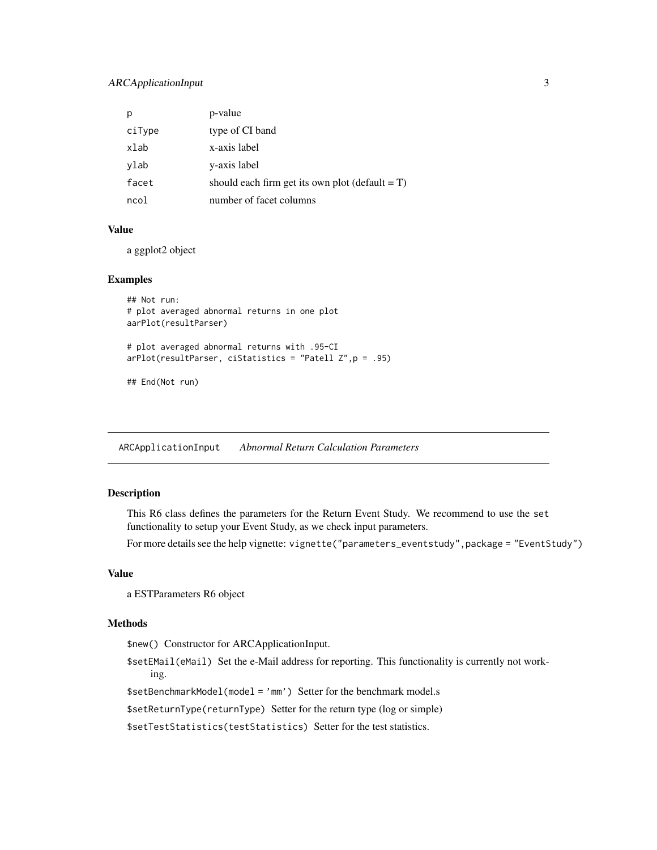# <span id="page-2-0"></span>ARCApplicationInput 3

|        | p-value                                            |
|--------|----------------------------------------------------|
| ciType | type of CI band                                    |
| xlab   | x-axis label                                       |
| ylab   | y-axis label                                       |
| facet  | should each firm get its own plot (default $= T$ ) |
| ncol   | number of facet columns                            |

# Value

a ggplot2 object

#### Examples

```
## Not run:
# plot averaged abnormal returns in one plot
aarPlot(resultParser)
# plot averaged abnormal returns with .95-CI
arPlot(resultParser, ciStatistics = "Patell Z",p = .95)
## End(Not run)
```
<span id="page-2-1"></span>ARCApplicationInput *Abnormal Return Calculation Parameters*

#### Description

This R6 class defines the parameters for the Return Event Study. We recommend to use the set functionality to setup your Event Study, as we check input parameters.

For more details see the help vignette: vignette("parameters\_eventstudy", package = "EventStudy")

# Value

a ESTParameters R6 object

#### Methods

\$new() Constructor for ARCApplicationInput.

\$setEMail(eMail) Set the e-Mail address for reporting. This functionality is currently not working.

\$setBenchmarkModel(model = 'mm') Setter for the benchmark model.s

\$setReturnType(returnType) Setter for the return type (log or simple)

\$setTestStatistics(testStatistics) Setter for the test statistics.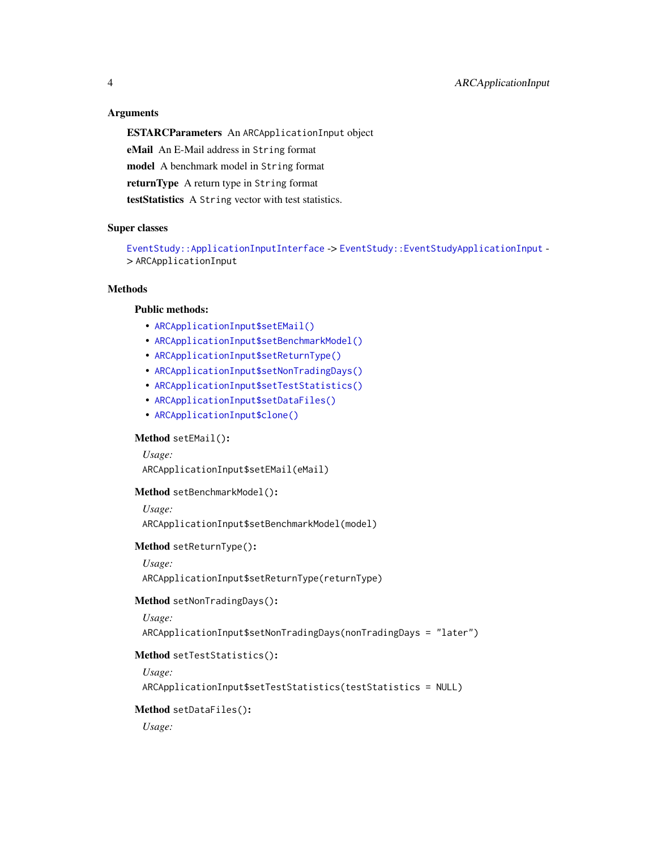### <span id="page-3-6"></span>**Arguments**

ESTARCParameters An ARCApplicationInput object eMail An E-Mail address in String format model A benchmark model in String format returnType A return type in String format testStatistics A String vector with test statistics.

#### Super classes

[EventStudy::ApplicationInputInterface](#page-0-0) -> [EventStudy::EventStudyApplicationInput](#page-0-0) - > ARCApplicationInput

# **Methods**

# Public methods:

- [ARCApplicationInput\\$setEMail\(\)](#page-3-0)
- [ARCApplicationInput\\$setBenchmarkModel\(\)](#page-3-1)
- [ARCApplicationInput\\$setReturnType\(\)](#page-3-2)
- [ARCApplicationInput\\$setNonTradingDays\(\)](#page-3-3)
- [ARCApplicationInput\\$setTestStatistics\(\)](#page-3-4)
- [ARCApplicationInput\\$setDataFiles\(\)](#page-3-5)
- [ARCApplicationInput\\$clone\(\)](#page-4-1)

# <span id="page-3-0"></span>Method setEMail():

*Usage:*

ARCApplicationInput\$setEMail(eMail)

#### <span id="page-3-1"></span>Method setBenchmarkModel():

*Usage:*

ARCApplicationInput\$setBenchmarkModel(model)

#### <span id="page-3-2"></span>Method setReturnType():

*Usage:*

ARCApplicationInput\$setReturnType(returnType)

# <span id="page-3-3"></span>Method setNonTradingDays():

*Usage:*

ARCApplicationInput\$setNonTradingDays(nonTradingDays = "later")

# <span id="page-3-4"></span>Method setTestStatistics():

```
Usage:
ARCApplicationInput$setTestStatistics(testStatistics = NULL)
```
#### <span id="page-3-5"></span>Method setDataFiles():

*Usage:*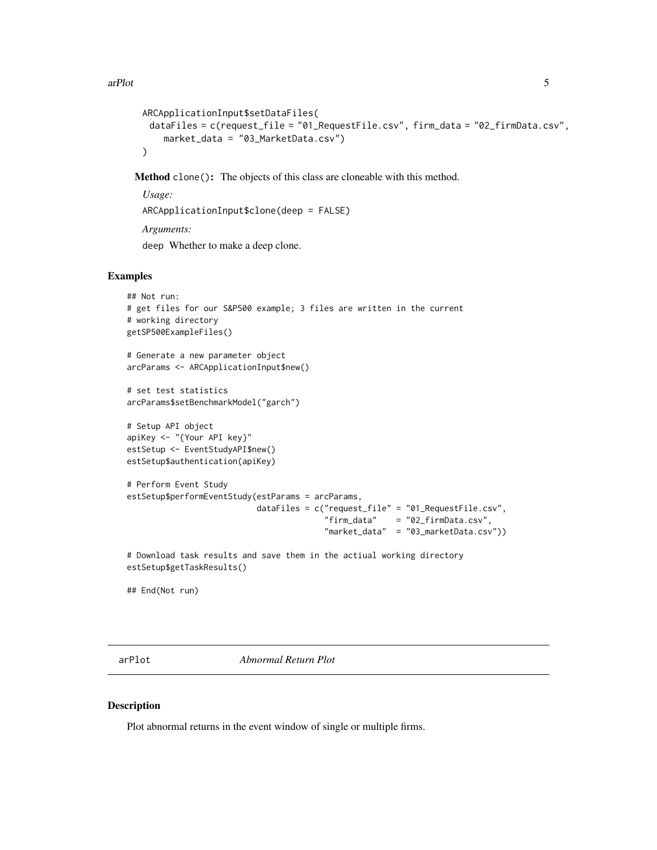```
ARCApplicationInput$setDataFiles(
 dataFiles = c(request_file = "01_RequestFile.csv", firm_data = "02_firmData.csv",
    market_data = "03_MarketData.csv")
\lambda
```
<span id="page-4-1"></span>Method clone(): The objects of this class are cloneable with this method.

*Usage:* ARCApplicationInput\$clone(deep = FALSE) *Arguments:* deep Whether to make a deep clone.

#### Examples

```
## Not run:
# get files for our S&P500 example; 3 files are written in the current
# working directory
getSP500ExampleFiles()
# Generate a new parameter object
arcParams <- ARCApplicationInput$new()
# set test statistics
arcParams$setBenchmarkModel("garch")
# Setup API object
apiKey <- "{Your API key}"
estSetup <- EventStudyAPI$new()
estSetup$authentication(apiKey)
# Perform Event Study
estSetup$performEventStudy(estParams = arcParams,
                           dataFiles = c("request_file" = "01_RequestFile.csv",
                                         "firm_data" = "02_firmData.csv",
                                         "market_data" = "03_marketData.csv"))
# Download task results and save them in the actiual working directory
estSetup$getTaskResults()
```
## End(Not run)

arPlot *Abnormal Return Plot*

#### Description

Plot abnormal returns in the event window of single or multiple firms.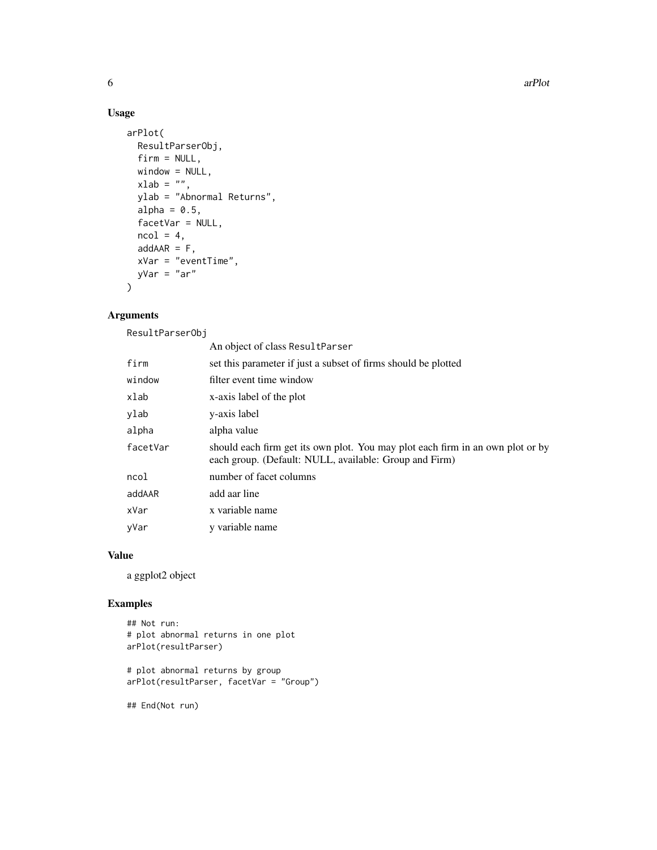# Usage

```
arPlot(
 ResultParserObj,
 firm = NULL,
 window = NULL,
 xlab = "",ylab = "Abnormal Returns",
 alpha = 0.5,
 facetVar = NULL,
 ncol = 4,
 addAAR = F,
 xVar = "eventTime",
 yVar = "ar"
)
```
# Arguments

ResultParserObj

|          | An object of class ResultParser                                                                                                          |
|----------|------------------------------------------------------------------------------------------------------------------------------------------|
| firm     | set this parameter if just a subset of firms should be plotted                                                                           |
| window   | filter event time window                                                                                                                 |
| xlab     | x-axis label of the plot                                                                                                                 |
| vlab     | y-axis label                                                                                                                             |
| alpha    | alpha value                                                                                                                              |
| facetVar | should each firm get its own plot. You may plot each firm in an own plot or by<br>each group. (Default: NULL, available: Group and Firm) |
| ncol     | number of facet columns                                                                                                                  |
| addAAR   | add aar line                                                                                                                             |
| xVar     | x variable name                                                                                                                          |
| yVar     | y variable name                                                                                                                          |

# Value

a ggplot2 object

#### Examples

```
## Not run:
# plot abnormal returns in one plot
arPlot(resultParser)
```
# plot abnormal returns by group arPlot(resultParser, facetVar = "Group")

## End(Not run)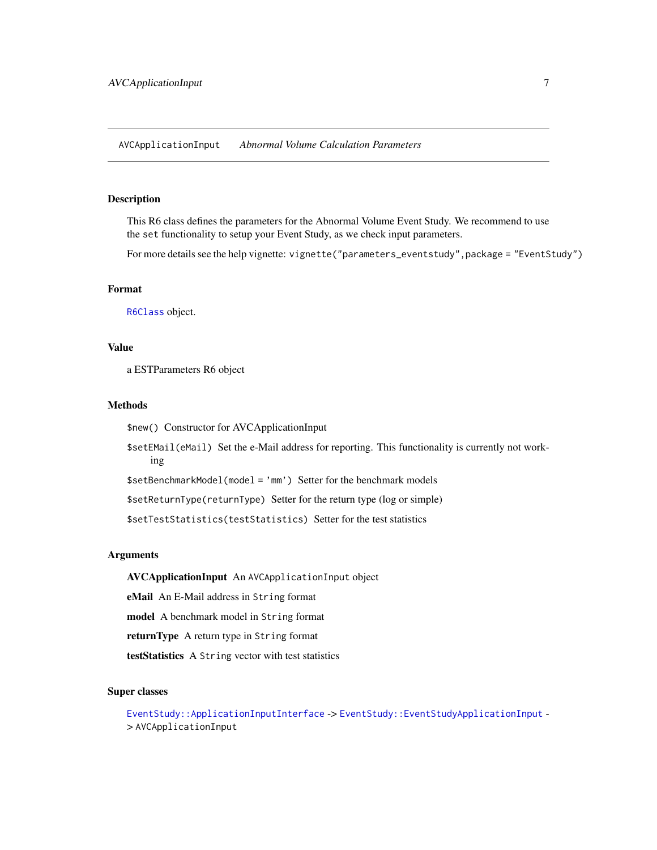<span id="page-6-0"></span>AVCApplicationInput *Abnormal Volume Calculation Parameters*

#### Description

This R6 class defines the parameters for the Abnormal Volume Event Study. We recommend to use the set functionality to setup your Event Study, as we check input parameters.

For more details see the help vignette: vignette("parameters\_eventstudy", package = "EventStudy")

# Format

[R6Class](#page-0-0) object.

# Value

a ESTParameters R6 object

#### Methods

\$new() Constructor for AVCApplicationInput

\$setEMail(eMail) Set the e-Mail address for reporting. This functionality is currently not working

\$setBenchmarkModel(model = 'mm') Setter for the benchmark models

\$setReturnType(returnType) Setter for the return type (log or simple)

\$setTestStatistics(testStatistics) Setter for the test statistics

#### Arguments

AVCApplicationInput An AVCApplicationInput object

eMail An E-Mail address in String format

model A benchmark model in String format

returnType A return type in String format

testStatistics A String vector with test statistics

#### Super classes

[EventStudy::ApplicationInputInterface](#page-0-0) -> [EventStudy::EventStudyApplicationInput](#page-0-0) - > AVCApplicationInput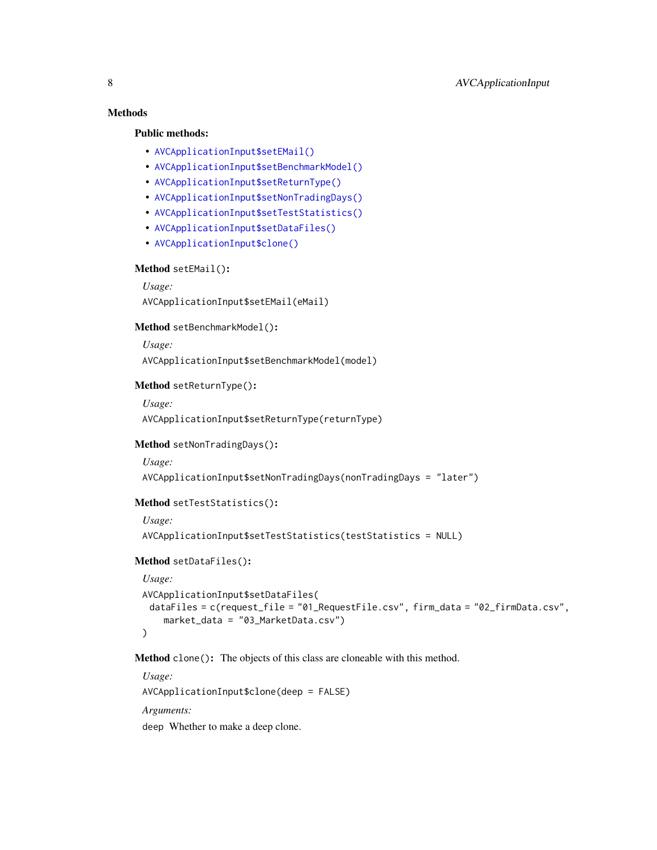# Methods

# Public methods:

- [AVCApplicationInput\\$setEMail\(\)](#page-3-0)
- [AVCApplicationInput\\$setBenchmarkModel\(\)](#page-3-1)
- [AVCApplicationInput\\$setReturnType\(\)](#page-3-2)
- [AVCApplicationInput\\$setNonTradingDays\(\)](#page-3-3)
- [AVCApplicationInput\\$setTestStatistics\(\)](#page-3-4)
- [AVCApplicationInput\\$setDataFiles\(\)](#page-3-5)
- [AVCApplicationInput\\$clone\(\)](#page-4-1)

#### Method setEMail():

```
Usage:
AVCApplicationInput$setEMail(eMail)
```
Method setBenchmarkModel():

*Usage:*

AVCApplicationInput\$setBenchmarkModel(model)

#### Method setReturnType():

```
Usage:
```
AVCApplicationInput\$setReturnType(returnType)

#### Method setNonTradingDays():

*Usage:*

```
AVCApplicationInput$setNonTradingDays(nonTradingDays = "later")
```
# Method setTestStatistics():

*Usage:*

```
AVCApplicationInput$setTestStatistics(testStatistics = NULL)
```
#### Method setDataFiles():

```
Usage:
AVCApplicationInput$setDataFiles(
 dataFiles = c(request_file = "01_RequestFile.csv", firm_data = "02_firmData.csv",
    market_data = "03_MarketData.csv")
)
```
Method clone(): The objects of this class are cloneable with this method.

*Usage:* AVCApplicationInput\$clone(deep = FALSE) *Arguments:* deep Whether to make a deep clone.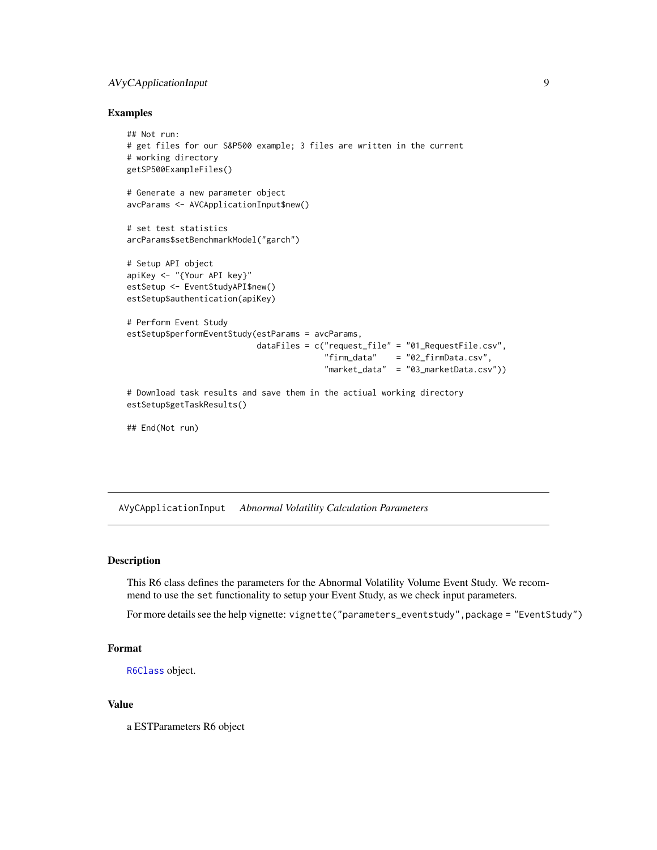# <span id="page-8-0"></span>AVyCApplicationInput 9

#### Examples

```
## Not run:
# get files for our S&P500 example; 3 files are written in the current
# working directory
getSP500ExampleFiles()
# Generate a new parameter object
avcParams <- AVCApplicationInput$new()
# set test statistics
arcParams$setBenchmarkModel("garch")
# Setup API object
apiKey <- "{Your API key}"
estSetup <- EventStudyAPI$new()
estSetup$authentication(apiKey)
# Perform Event Study
estSetup$performEventStudy(estParams = avcParams,
                           dataFiles = c("request_file" = "01_RequestFile.csv",
                                         "firm_data" = "02_firmData.csv",
                                         "market_data" = "03_marketData.csv"))
# Download task results and save them in the actiual working directory
estSetup$getTaskResults()
## End(Not run)
```
AVyCApplicationInput *Abnormal Volatility Calculation Parameters*

#### **Description**

This R6 class defines the parameters for the Abnormal Volatility Volume Event Study. We recommend to use the set functionality to setup your Event Study, as we check input parameters.

For more details see the help vignette: vignette("parameters\_eventstudy", package = "EventStudy")

#### Format

```
R6Class object.
```
#### Value

a ESTParameters R6 object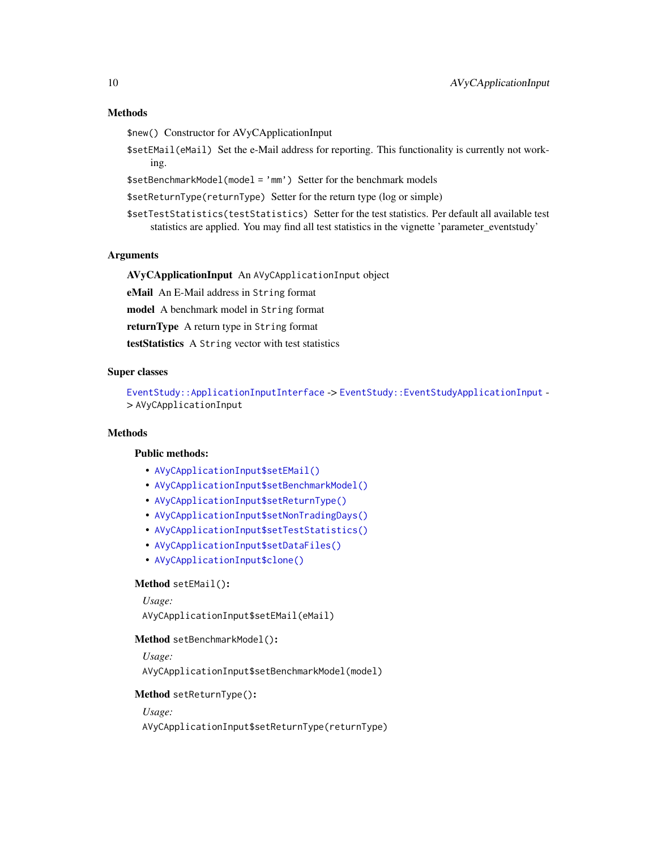# <span id="page-9-0"></span>Methods

\$new() Constructor for AVyCApplicationInput

\$setEMail(eMail) Set the e-Mail address for reporting. This functionality is currently not working.

\$setBenchmarkModel(model = 'mm') Setter for the benchmark models

\$setReturnType(returnType) Setter for the return type (log or simple)

\$setTestStatistics(testStatistics) Setter for the test statistics. Per default all available test statistics are applied. You may find all test statistics in the vignette 'parameter\_eventstudy'

#### Arguments

AVyCApplicationInput An AVyCApplicationInput object

eMail An E-Mail address in String format

model A benchmark model in String format

returnType A return type in String format

testStatistics A String vector with test statistics

# Super classes

[EventStudy::ApplicationInputInterface](#page-0-0) -> [EventStudy::EventStudyApplicationInput](#page-0-0) - > AVyCApplicationInput

#### Methods

#### Public methods:

- [AVyCApplicationInput\\$setEMail\(\)](#page-3-0)
- [AVyCApplicationInput\\$setBenchmarkModel\(\)](#page-3-1)
- [AVyCApplicationInput\\$setReturnType\(\)](#page-3-2)
- [AVyCApplicationInput\\$setNonTradingDays\(\)](#page-3-3)
- [AVyCApplicationInput\\$setTestStatistics\(\)](#page-3-4)
- [AVyCApplicationInput\\$setDataFiles\(\)](#page-3-5)
- [AVyCApplicationInput\\$clone\(\)](#page-4-1)

#### Method setEMail():

```
Usage:
AVyCApplicationInput$setEMail(eMail)
```
#### Method setBenchmarkModel():

*Usage:* AVyCApplicationInput\$setBenchmarkModel(model)

#### Method setReturnType():

*Usage:*

AVyCApplicationInput\$setReturnType(returnType)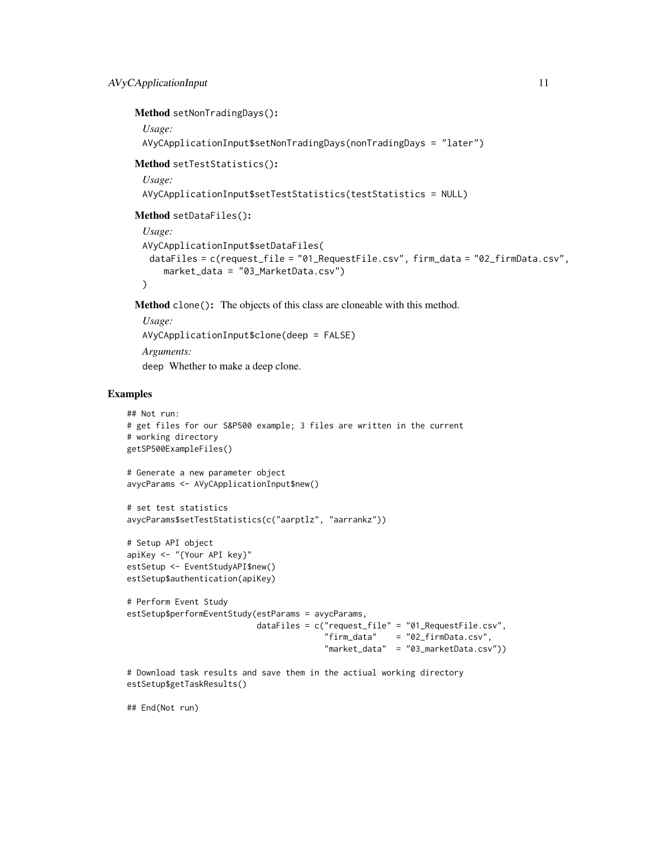```
Method setNonTradingDays():
 Usage:
 AVyCApplicationInput$setNonTradingDays(nonTradingDays = "later")
Method setTestStatistics():
 Usage:
 AVyCApplicationInput$setTestStatistics(testStatistics = NULL)
Method setDataFiles():
 Usage:
 AVyCApplicationInput$setDataFiles(
  dataFiles = c(request_file = "01_RequestFile.csv", firm_data = "02_firmData.csv",
     market_data = "03_MarketData.csv")
 )
```
Method clone(): The objects of this class are cloneable with this method.

*Usage:* AVyCApplicationInput\$clone(deep = FALSE) *Arguments:* deep Whether to make a deep clone.

#### Examples

```
## Not run:
# get files for our S&P500 example; 3 files are written in the current
# working directory
getSP500ExampleFiles()
# Generate a new parameter object
avycParams <- AVyCApplicationInput$new()
# set test statistics
avycParams$setTestStatistics(c("aarptlz", "aarrankz"))
# Setup API object
apiKey <- "{Your API key}"
estSetup <- EventStudyAPI$new()
estSetup$authentication(apiKey)
# Perform Event Study
estSetup$performEventStudy(estParams = avycParams,
                           dataFiles = c("request_file" = "01_RequestFile.csv",
                                         "firm_data" = "02_firmData.csv",
                                         "market_data" = "03_marketData.csv"))
# Download task results and save them in the actiual working directory
```
estSetup\$getTaskResults()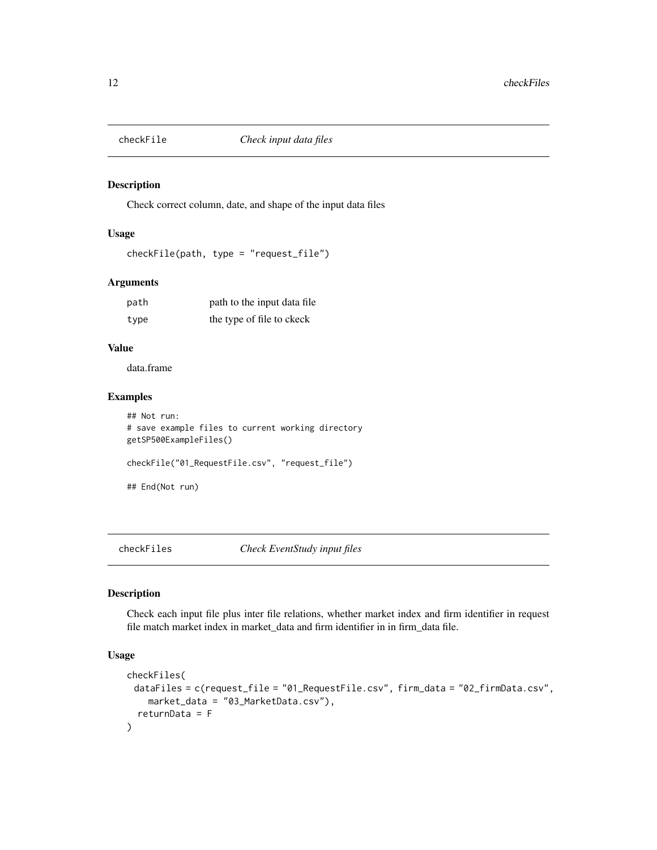<span id="page-11-0"></span>

# Description

Check correct column, date, and shape of the input data files

#### Usage

```
checkFile(path, type = "request_file")
```
# Arguments

| path | path to the input data file. |
|------|------------------------------|
| type | the type of file to ckeck    |

# Value

data.frame

# Examples

```
## Not run:
# save example files to current working directory
getSP500ExampleFiles()
checkFile("01_RequestFile.csv", "request_file")
## End(Not run)
```
checkFiles *Check EventStudy input files*

# Description

Check each input file plus inter file relations, whether market index and firm identifier in request file match market index in market\_data and firm identifier in in firm\_data file.

# Usage

```
checkFiles(
 dataFiles = c(request_file = "01_RequestFile.csv", firm_data = "02_firmData.csv",
    market_data = "03_MarketData.csv"),
  returnData = F
)
```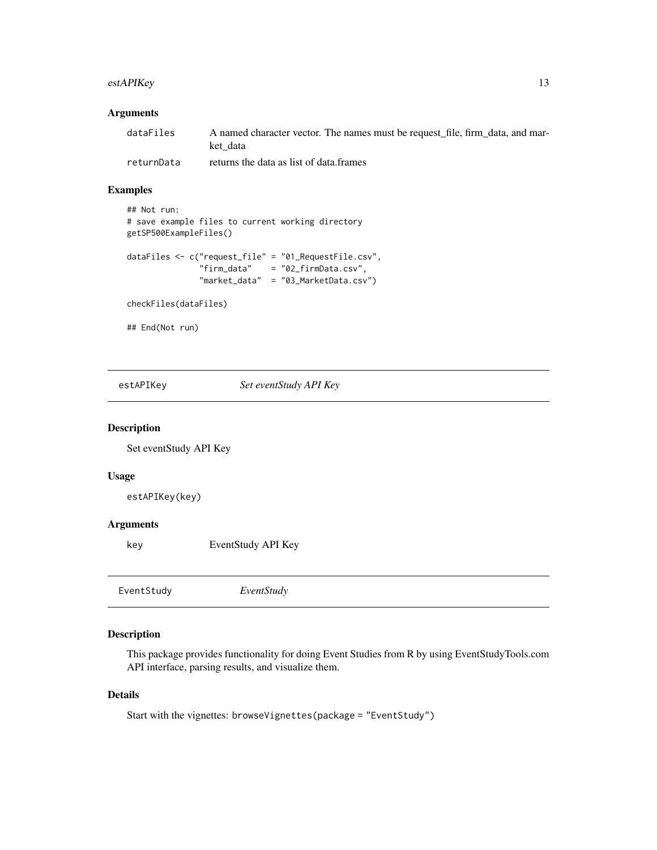# <span id="page-12-0"></span>estAPIKey 13

#### Arguments

| dataFiles  | A named character vector. The names must be request file, firm data, and mar-<br>ket data |
|------------|-------------------------------------------------------------------------------------------|
| returnData | returns the data as list of data.frames                                                   |

#### Examples

```
## Not run:
# save example files to current working directory
getSP500ExampleFiles()
dataFiles <- c("request_file" = "01_RequestFile.csv",
               "firm_data" = "02_firmData.csv",
              "market_data" = "03_MarketData.csv")
```
checkFiles(dataFiles)

## End(Not run)

estAPIKey *Set eventStudy API Key*

#### Description

Set eventStudy API Key

#### Usage

estAPIKey(key)

# Arguments

key EventStudy API Key

| EventStudy | EventStudy |
|------------|------------|
|            |            |

#### Description

This package provides functionality for doing Event Studies from R by using EventStudyTools.com API interface, parsing results, and visualize them.

#### Details

Start with the vignettes: browseVignettes(package = "EventStudy")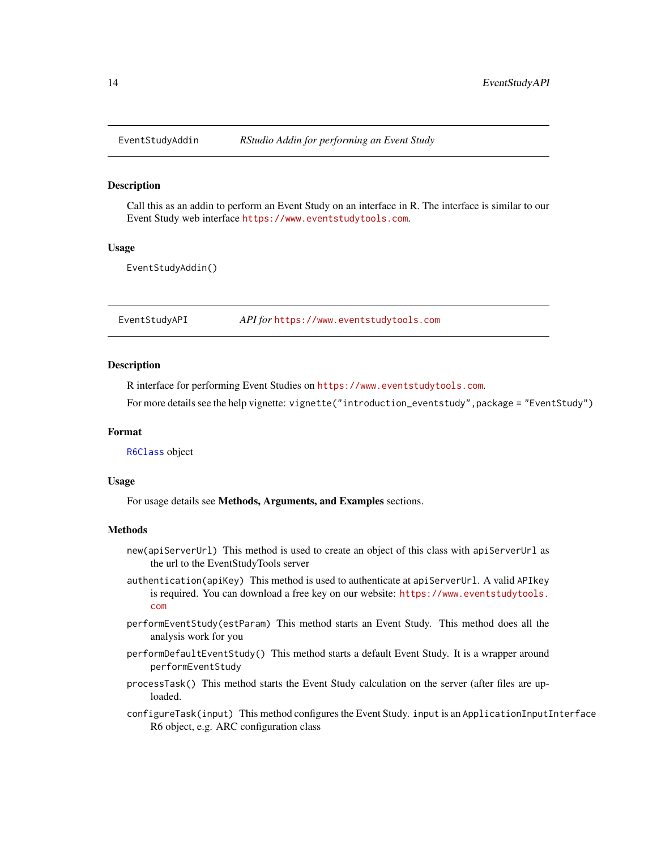<span id="page-13-0"></span>

#### **Description**

Call this as an addin to perform an Event Study on an interface in R. The interface is similar to our Event Study web interface <https://www.eventstudytools.com>.

#### Usage

EventStudyAddin()

EventStudyAPI *API for* <https://www.eventstudytools.com>

#### Description

R interface for performing Event Studies on <https://www.eventstudytools.com>.

For more details see the help vignette: vignette("introduction\_eventstudy",package = "EventStudy")

### Format

[R6Class](#page-0-0) object

#### Usage

For usage details see Methods, Arguments, and Examples sections.

#### Methods

- new(apiServerUrl) This method is used to create an object of this class with apiServerUrl as the url to the EventStudyTools server
- authentication(apiKey) This method is used to authenticate at apiServerUrl. A valid APIkey is required. You can download a free key on our website: [https://www.eventstudytools.](https://www.eventstudytools.com) [com](https://www.eventstudytools.com)
- performEventStudy(estParam) This method starts an Event Study. This method does all the analysis work for you
- performDefaultEventStudy() This method starts a default Event Study. It is a wrapper around performEventStudy
- processTask() This method starts the Event Study calculation on the server (after files are uploaded.
- configureTask(input) This method configures the Event Study. input is an ApplicationInputInterface R6 object, e.g. ARC configuration class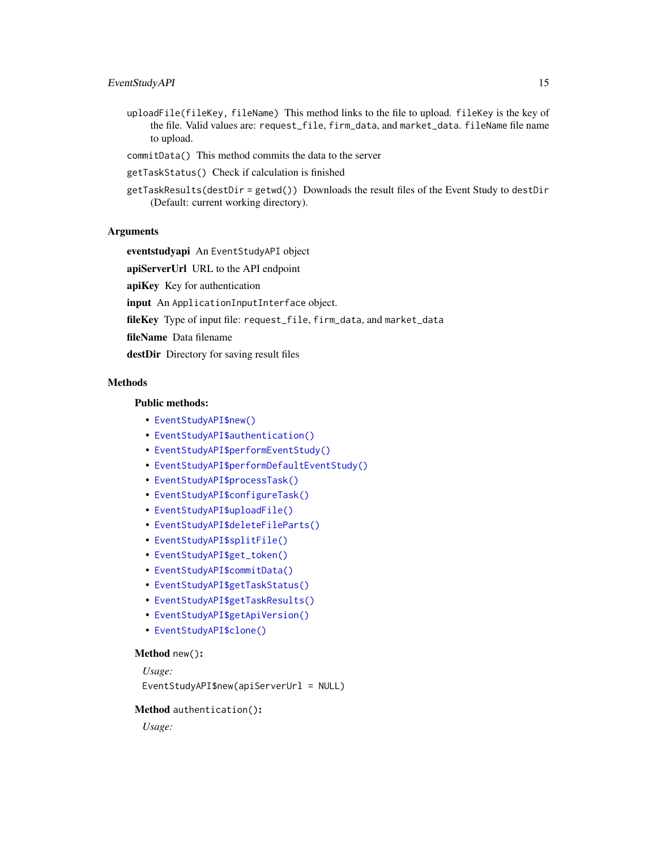# EventStudyAPI 15

- uploadFile(fileKey, fileName) This method links to the file to upload. fileKey is the key of the file. Valid values are: request\_file, firm\_data, and market\_data. fileName file name to upload.
- commitData() This method commits the data to the server
- getTaskStatus() Check if calculation is finished
- getTaskResults(destDir = getwd()) Downloads the result files of the Event Study to destDir (Default: current working directory).

# Arguments

eventstudyapi An EventStudyAPI object

apiServerUrl URL to the API endpoint

apiKey Key for authentication

input An ApplicationInputInterface object.

fileKey Type of input file: request\_file, firm\_data, and market\_data

fileName Data filename

destDir Directory for saving result files

# **Methods**

# Public methods:

- [EventStudyAPI\\$new\(\)](#page-14-0)
- [EventStudyAPI\\$authentication\(\)](#page-14-1)
- [EventStudyAPI\\$performEventStudy\(\)](#page-15-0)
- [EventStudyAPI\\$performDefaultEventStudy\(\)](#page-15-1)
- [EventStudyAPI\\$processTask\(\)](#page-15-2)
- [EventStudyAPI\\$configureTask\(\)](#page-15-3)
- [EventStudyAPI\\$uploadFile\(\)](#page-15-4)
- [EventStudyAPI\\$deleteFileParts\(\)](#page-15-5)
- [EventStudyAPI\\$splitFile\(\)](#page-15-6)
- [EventStudyAPI\\$get\\_token\(\)](#page-15-7)
- [EventStudyAPI\\$commitData\(\)](#page-16-0)
- [EventStudyAPI\\$getTaskStatus\(\)](#page-16-1)
- [EventStudyAPI\\$getTaskResults\(\)](#page-16-2)
- [EventStudyAPI\\$getApiVersion\(\)](#page-16-3)
- [EventStudyAPI\\$clone\(\)](#page-4-1)

#### <span id="page-14-0"></span>Method new():

*Usage:*

EventStudyAPI\$new(apiServerUrl = NULL)

#### <span id="page-14-1"></span>Method authentication():

*Usage:*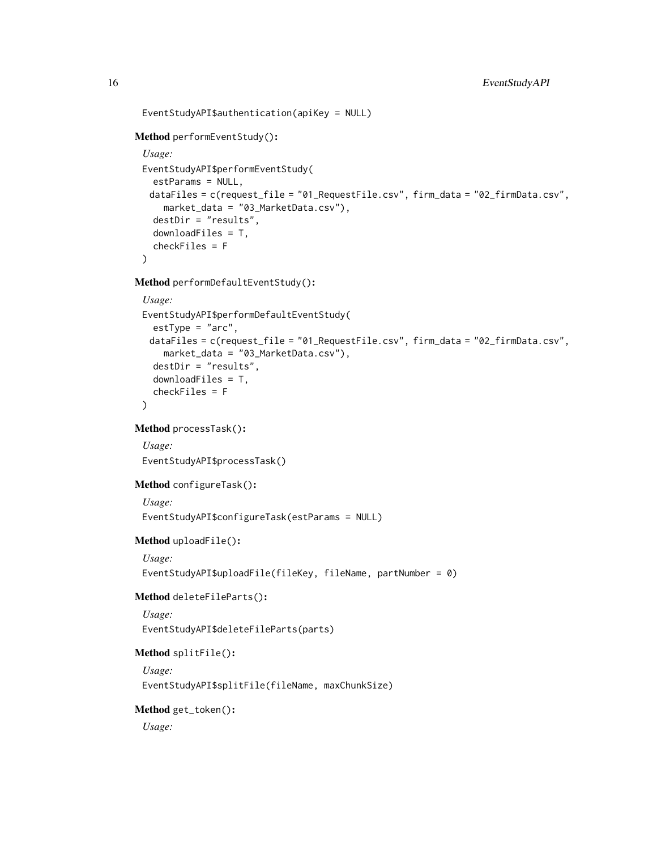```
EventStudyAPI$authentication(apiKey = NULL)
```
# <span id="page-15-0"></span>Method performEventStudy():

```
Usage:
EventStudyAPI$performEventStudy(
 estParams = NULL,
 dataFiles = c(request_file = "01_RequestFile.csv", firm_data = "02_firmData.csv",
   market_data = "03_MarketData.csv"),
  destDir = "results",
 downloadFiles = T,
  checkFiles = F
\mathcal{L}
```
<span id="page-15-1"></span>Method performDefaultEventStudy():

```
Usage:
EventStudyAPI$performDefaultEventStudy(
  estType = "arc",
 dataFiles = c(request_file = "01_RequestFile.csv", firm_data = "02_firmData.csv",
    market_data = "03_MarketData.csv"),
  destDir = "results",
  downloadFiles = T,
  checkFiles = F
\lambda
```

```
Method processTask():
```
*Usage:*

EventStudyAPI\$processTask()

# <span id="page-15-3"></span>Method configureTask():

*Usage:*

EventStudyAPI\$configureTask(estParams = NULL)

<span id="page-15-4"></span>Method uploadFile():

```
Usage:
```
EventStudyAPI\$uploadFile(fileKey, fileName, partNumber = 0)

# <span id="page-15-5"></span>Method deleteFileParts():

*Usage:*

EventStudyAPI\$deleteFileParts(parts)

#### <span id="page-15-6"></span>Method splitFile():

*Usage:*

EventStudyAPI\$splitFile(fileName, maxChunkSize)

# <span id="page-15-7"></span>Method get\_token():

*Usage:*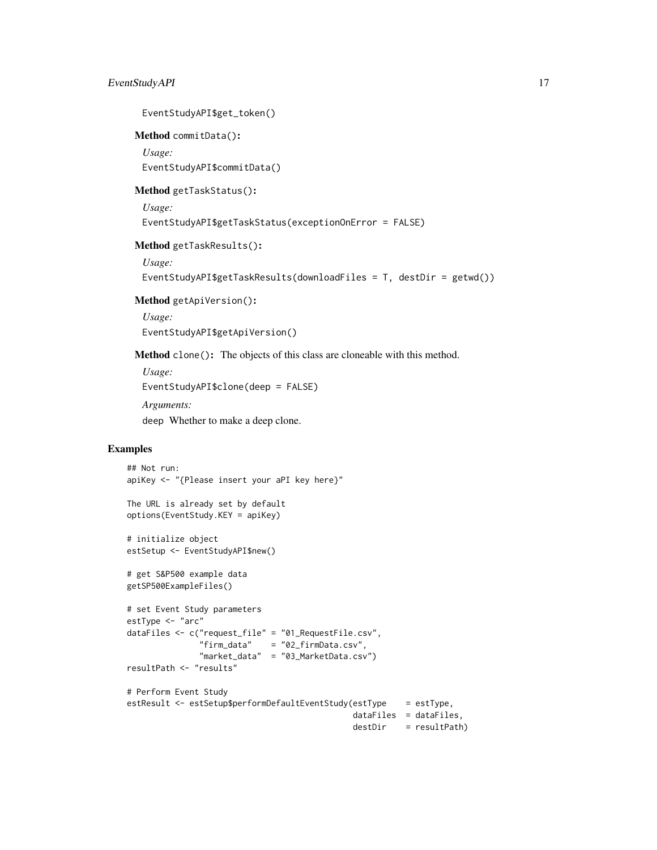EventStudyAPI\$get\_token()

<span id="page-16-0"></span>Method commitData():

*Usage:*

EventStudyAPI\$commitData()

<span id="page-16-1"></span>Method getTaskStatus():

*Usage:*

EventStudyAPI\$getTaskStatus(exceptionOnError = FALSE)

<span id="page-16-2"></span>Method getTaskResults():

*Usage:*

EventStudyAPI\$getTaskResults(downloadFiles = T, destDir = getwd())

<span id="page-16-3"></span>Method getApiVersion():

*Usage:* EventStudyAPI\$getApiVersion()

Method clone(): The objects of this class are cloneable with this method.

*Usage:* EventStudyAPI\$clone(deep = FALSE) *Arguments:* deep Whether to make a deep clone.

# Examples

```
## Not run:
apiKey <- "{Please insert your aPI key here}"
The URL is already set by default
options(EventStudy.KEY = apiKey)
# initialize object
estSetup <- EventStudyAPI$new()
# get S&P500 example data
getSP500ExampleFiles()
# set Event Study parameters
estType <- "arc"
dataFiles <- c("request_file" = "01_RequestFile.csv",
               "firm_data" = "02_firmData.csv",
               "market_data" = "03_MarketData.csv")
resultPath <- "results"
# Perform Event Study
estResult <- estSetup$performDefaultEventStudy(estType = estType,
                                              dataFiles = dataFiles,
                                              destDir = resultPath)
```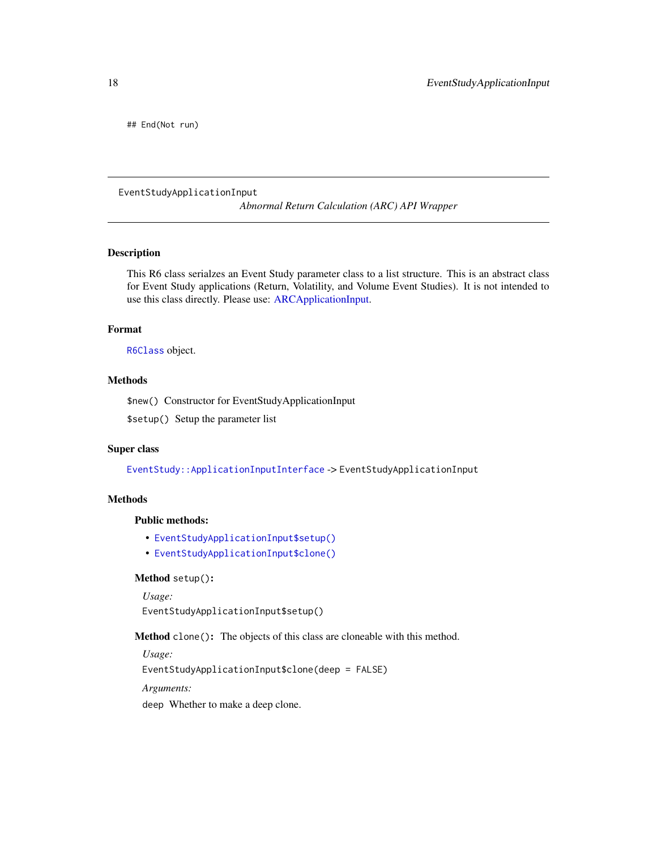<span id="page-17-0"></span>## End(Not run)

EventStudyApplicationInput

*Abnormal Return Calculation (ARC) API Wrapper*

# Description

This R6 class serialzes an Event Study parameter class to a list structure. This is an abstract class for Event Study applications (Return, Volatility, and Volume Event Studies). It is not intended to use this class directly. Please use: [ARCApplicationInput.](#page-2-1)

#### Format

[R6Class](#page-0-0) object.

# Methods

\$new() Constructor for EventStudyApplicationInput

\$setup() Setup the parameter list

# Super class

[EventStudy::ApplicationInputInterface](#page-0-0) -> EventStudyApplicationInput

# **Methods**

#### Public methods:

- [EventStudyApplicationInput\\$setup\(\)](#page-17-1)
- [EventStudyApplicationInput\\$clone\(\)](#page-4-1)

<span id="page-17-1"></span>Method setup():

*Usage:*

EventStudyApplicationInput\$setup()

Method clone(): The objects of this class are cloneable with this method.

*Usage:*

EventStudyApplicationInput\$clone(deep = FALSE)

*Arguments:*

deep Whether to make a deep clone.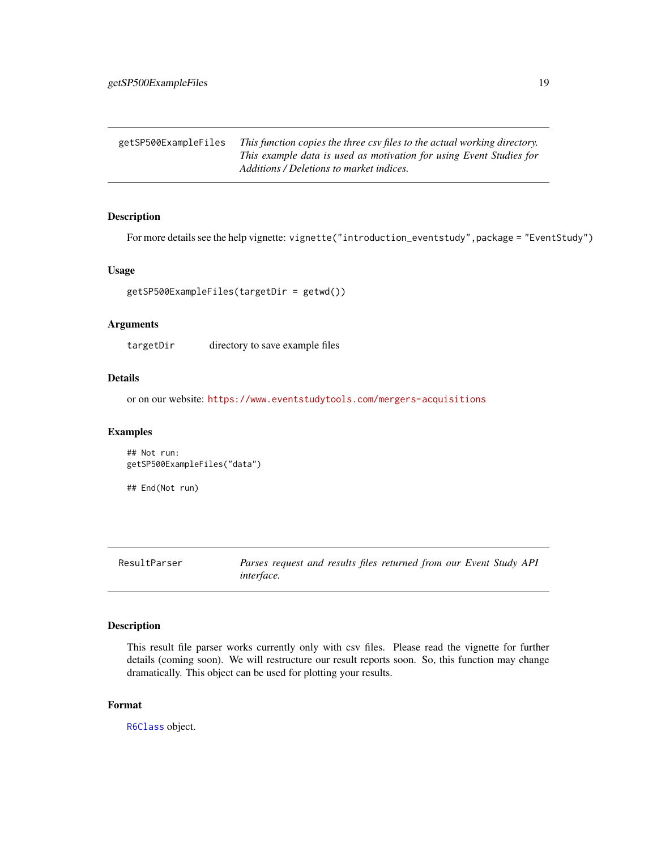<span id="page-18-0"></span>getSP500ExampleFiles *This function copies the three csv files to the actual working directory. This example data is used as motivation for using Event Studies for Additions / Deletions to market indices.*

# Description

For more details see the help vignette: vignette("introduction\_eventstudy", package = "EventStudy")

#### Usage

```
getSP500ExampleFiles(targetDir = getwd())
```
# Arguments

targetDir directory to save example files

# Details

or on our website: <https://www.eventstudytools.com/mergers-acquisitions>

#### Examples

```
## Not run:
getSP500ExampleFiles("data")
```
## End(Not run)

ResultParser *Parses request and results files returned from our Event Study API interface.*

# Description

This result file parser works currently only with csv files. Please read the vignette for further details (coming soon). We will restructure our result reports soon. So, this function may change dramatically. This object can be used for plotting your results.

#### Format

[R6Class](#page-0-0) object.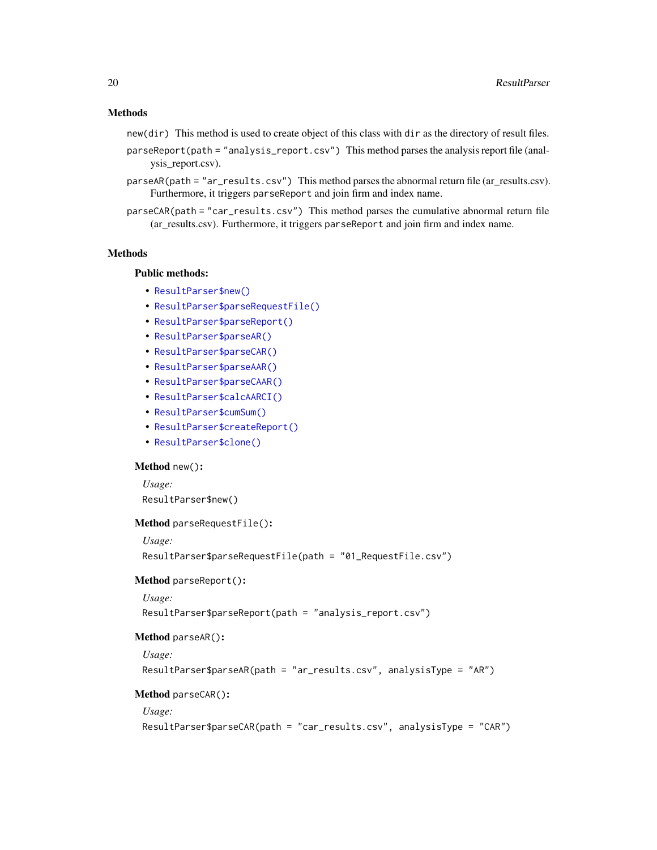#### Methods

- new(dir) This method is used to create object of this class with dir as the directory of result files.
- parseReport(path = "analysis\_report.csv") This method parses the analysis report file (analysis\_report.csv).
- parseAR(path = "ar\_results.csv") This method parses the abnormal return file (ar\_results.csv). Furthermore, it triggers parseReport and join firm and index name.
- parseCAR(path = "car\_results.csv") This method parses the cumulative abnormal return file (ar\_results.csv). Furthermore, it triggers parseReport and join firm and index name.

# **Methods**

# Public methods:

- [ResultParser\\$new\(\)](#page-14-0)
- [ResultParser\\$parseRequestFile\(\)](#page-19-0)
- [ResultParser\\$parseReport\(\)](#page-19-1)
- [ResultParser\\$parseAR\(\)](#page-19-2)
- [ResultParser\\$parseCAR\(\)](#page-19-3)
- [ResultParser\\$parseAAR\(\)](#page-19-4)
- [ResultParser\\$parseCAAR\(\)](#page-20-0)
- [ResultParser\\$calcAARCI\(\)](#page-20-1)
- [ResultParser\\$cumSum\(\)](#page-20-2)
- [ResultParser\\$createReport\(\)](#page-20-3)
- [ResultParser\\$clone\(\)](#page-4-1)

#### Method new():

*Usage:* ResultParser\$new()

# <span id="page-19-0"></span>Method parseRequestFile():

*Usage:*

```
ResultParser$parseRequestFile(path = "01_RequestFile.csv")
```
<span id="page-19-1"></span>Method parseReport():

*Usage:*

ResultParser\$parseReport(path = "analysis\_report.csv")

#### <span id="page-19-2"></span>Method parseAR():

*Usage:*

ResultParser\$parseAR(path = "ar\_results.csv", analysisType = "AR")

#### <span id="page-19-3"></span>Method parseCAR():

*Usage:*

```
ResultParser$parseCAR(path = "car_results.csv", analysisType = "CAR")
```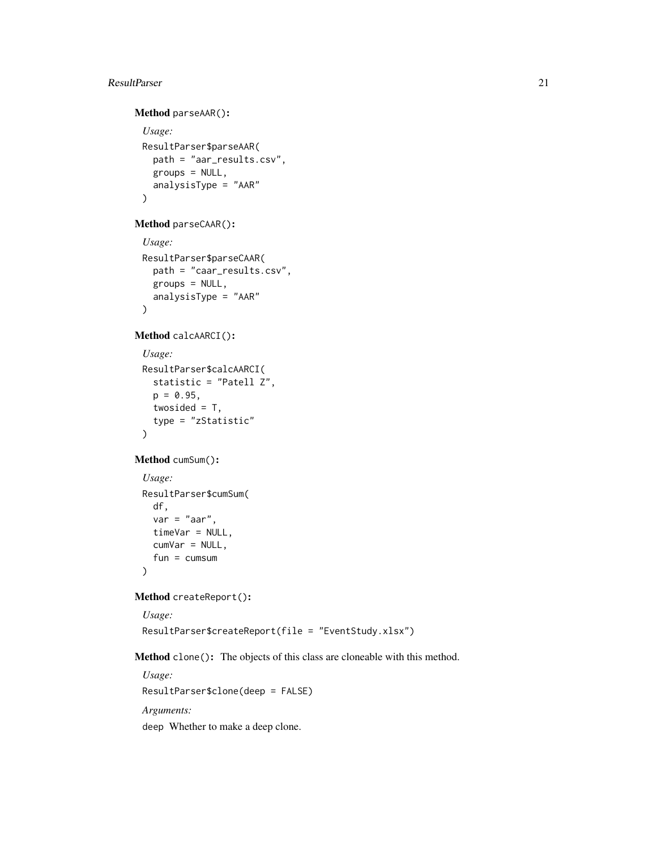#### ResultParser 21

```
Method parseAAR():
 Usage:
 ResultParser$parseAAR(
   path = "aar_results.csv",
   groups = NULL,
   analysisType = "AAR"
 )
```
<span id="page-20-0"></span>Method parseCAAR():

```
Usage:
ResultParser$parseCAAR(
  path = "caar_results.csv",
  groups = NULL,
  analysisType = "AAR"
\mathcal{L}
```
<span id="page-20-1"></span>Method calcAARCI():

```
Usage:
ResultParser$calcAARCI(
  statistic = "Patell Z",
 p = 0.95,
  twosided = T,
  type = "zStatistic"
\lambda
```
<span id="page-20-2"></span>Method cumSum():

```
Usage:
ResultParser$cumSum(
 df,
 var = "aar",timeVar = NULL,
 cumVar = NULL,
 fun = cumsum)
```
<span id="page-20-3"></span>Method createReport():

```
Usage:
ResultParser$createReport(file = "EventStudy.xlsx")
```
Method clone(): The objects of this class are cloneable with this method.

*Usage:* ResultParser\$clone(deep = FALSE) *Arguments:* deep Whether to make a deep clone.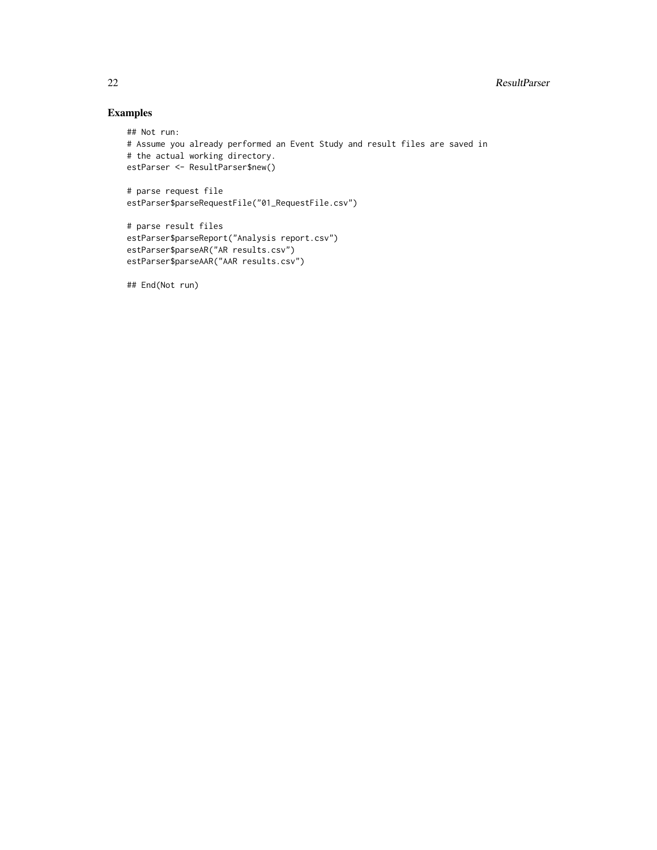# Examples

```
## Not run:
# Assume you already performed an Event Study and result files are saved in
# the actual working directory.
estParser <- ResultParser$new()
# parse request file
estParser$parseRequestFile("01_RequestFile.csv")
# parse result files
estParser$parseReport("Analysis report.csv")
```
## End(Not run)

estParser\$parseAR("AR results.csv") estParser\$parseAAR("AAR results.csv")